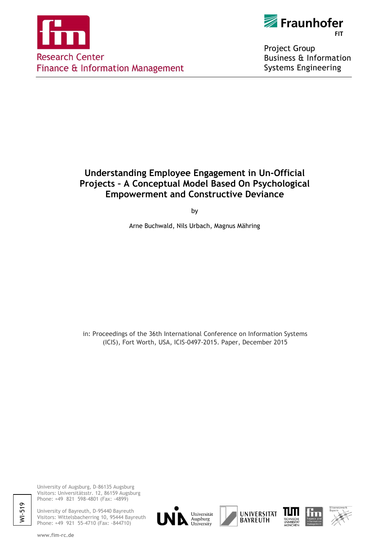



Project Group **Business & Information Systems Engineering** 

# **Understanding Employee Engagement in Un-Official Projects – A Conceptual Model Based On Psychological Empowerment and Constructive Deviance**

by

Arne Buchwald, Nils Urbach, Magnus Mähring

in: Proceedings of the 36th International Conference on Information Systems (ICIS), Fort Worth, USA, ICIS-0497-2015. Paper, December 2015

University of Augsburg, D-86135 Augsburg Visitors: Universitätsstr. 12, 86159 Augsburg Phone: +49 821 598-4801 (Fax: -4899)

University of Bayreuth, D-95440 Bayreuth Visitors: Wittelsbacherring 10, 95444 Bayreuth Phone: +49 921 55-4710 (Fax: -844710)









WI-519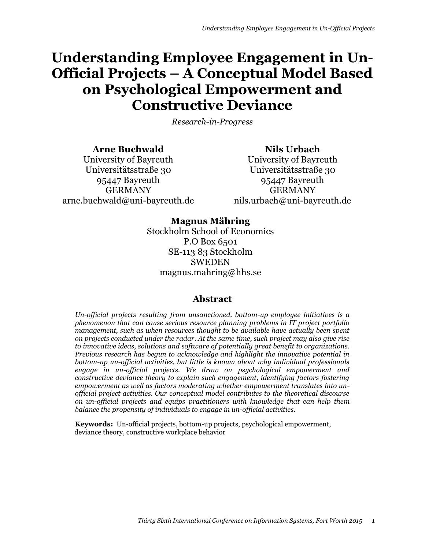# **Understanding Employee Engagement in Un-Official Projects – A Conceptual Model Based on Psychological Empowerment and Constructive Deviance**

*Research-in-Progress*

**Arne Buchwald** University of Bayreuth Universitätsstraße 30 95447 Bayreuth GERMANY arne.buchwald@uni-bayreuth.de

**Nils Urbach** University of Bayreuth Universitätsstraße 30 95447 Bayreuth GERMANY nils.urbach@uni-bayreuth.de

## **Magnus Mähring**

Stockholm School of Economics P.O Box 6501 SE-113 83 Stockholm SWEDEN magnus.mahring@hhs.se

## **Abstract**

*Un-official projects resulting from unsanctioned, bottom-up employee initiatives is a phenomenon that can cause serious resource planning problems in IT project portfolio management, such as when resources thought to be available have actually been spent on projects conducted under the radar. At the same time, such project may also give rise to innovative ideas, solutions and software of potentially great benefit to organizations. Previous research has begun to acknowledge and highlight the innovative potential in bottom-up un-official activities, but little is known about why individual professionals engage in un-official projects. We draw on psychological empowerment and constructive deviance theory to explain such engagement, identifying factors fostering empowerment as well as factors moderating whether empowerment translates into unofficial project activities. Our conceptual model contributes to the theoretical discourse on un-official projects and equips practitioners with knowledge that can help them balance the propensity of individuals to engage in un-official activities.*

**Keywords:** Un-official projects, bottom-up projects, psychological empowerment, deviance theory, constructive workplace behavior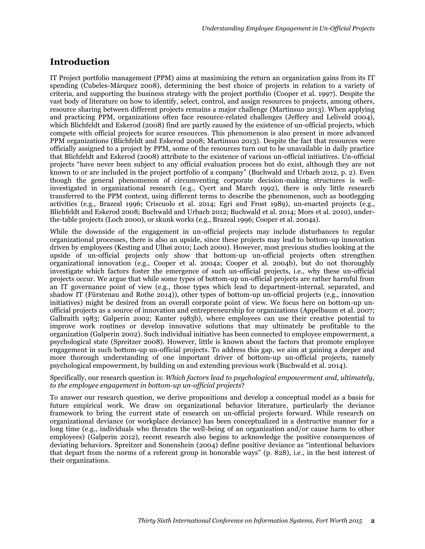# **Introduction**

IT Project portfolio management (PPM) aims at maximizing the return an organization gains from its IT spending (Cubeles-Márquez 2008), determining the best choice of projects in relation to a variety of criteria, and supporting the business strategy with the project portfolio (Cooper et al. 1997). Despite the vast body of literature on how to identify, select, control, and assign resources to projects, among others, resource sharing between different projects remains a major challenge (Martinsuo 2013). When applying and practicing PPM, organizations often face resource-related challenges (Jeffery and Leliveld 2004), which Blichfeldt and Eskerod (2008) find are partly caused by the existence of un-official projects, which compete with official projects for scarce resources. This phenomenon is also present in more advanced PPM organizations (Blichfeldt and Eskerod 2008; Martinsuo 2013). Despite the fact that resources were officially assigned to a project by PPM, some of the resources turn out to be unavailable in daily practice that Blichfeldt and Eskerod (2008) attribute to the existence of various un-official initiatives. Un-official projects "have never been subject to any official evaluation process but do exist, although they are not known to or are included in the project portfolio of a company" (Buchwald and Urbach 2012, p. 2). Even though the general phenomenon of circumventing corporate decision-making structures is wellinvestigated in organizational research (e.g., Cyert and March 1992), there is only little research transferred to the PPM context, using different terms to describe the phenomenon, such as bootlegging activities (e.g., Brazeal 1996; Criscuolo et al. 2014; Egri and Frost 1989), un-enacted projects (e.g., Blichfeldt and Eskerod 2008; Buchwald and Urbach 2012; Buchwald et al. 2014; Mors et al. 2010), underthe-table projects (Loch 2000), or skunk works (e.g., Brazeal 1996; Cooper et al. 2004a).

While the downside of the engagement in un-official projects may include disturbances to regular organizational processes, there is also an upside, since these projects may lead to bottom-up innovation driven by employees (Kesting and Ulhøi 2010; Loch 2000). However, most previous studies looking at the upside of un-official projects only show that bottom-up un-official projects often strengthen organizational innovation (e.g., Cooper et al. 2004a; Cooper et al. 2004b), but do not thoroughly investigate which factors foster the emergence of such un-official projects, i.e., why these un-official projects occur. We argue that while some types of bottom-up un-official projects are rather harmful from an IT governance point of view (e.g., those types which lead to department-internal, separated, and shadow IT (Fürstenau and Rothe 2014)), other types of bottom-up un-official projects (e.g., innovation initiatives) might be desired from an overall corporate point of view. We focus here on bottom-up unofficial projects as a source of innovation and entrepreneurship for organizations (Appelbaum et al. 2007; Galbraith 1983; Galperin 2002; Kanter 1983b), where employees can use their creative potential to improve work routines or develop innovative solutions that may ultimately be profitable to the organization (Galperin 2002). Such individual initiative has been connected to employee empowerment, a psychological state (Spreitzer 2008). However, little is known about the factors that promote employee engagement in such bottom-up un-official projects. To address this gap, we aim at gaining a deeper and more thorough understanding of one important driver of bottom-up un-official projects, namely psychological empowerment, by building on and extending previous work (Buchwald et al. 2014).

#### Specifically, our research question is: *Which factors lead to psychological empowerment and, ultimately, to the employee engagement in bottom-up un-official projects*?

To answer our research question, we derive propositions and develop a conceptual model as a basis for future empirical work. We draw on organizational behavior literature, particularly the deviance framework to bring the current state of research on un-official projects forward. While research on organizational deviance (or workplace deviance) has been conceptualized in a destructive manner for a long time (e.g., individuals who threaten the well-being of an organization and/or cause harm to other employees) (Galperin 2012), recent research also begins to acknowledge the positive consequences of deviating behaviors. Spreitzer and Sonenshein (2004) define positive deviance as "intentional behaviors that depart from the norms of a referent group in honorable ways" (p. 828), i.e., in the best interest of their organizations.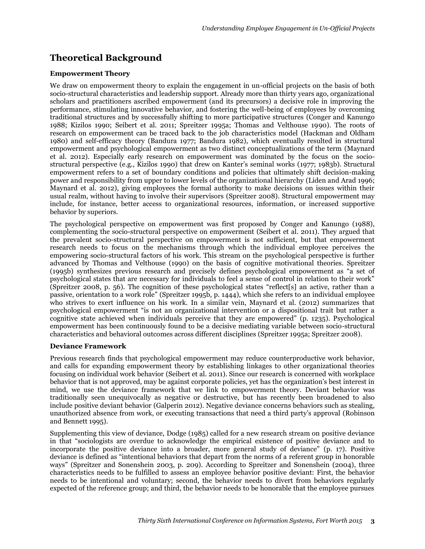# **Theoretical Background**

#### **Empowerment Theory**

We draw on empowerment theory to explain the engagement in un-official projects on the basis of both socio-structural characteristics and leadership support. Already more than thirty years ago, organizational scholars and practitioners ascribed empowerment (and its precursors) a decisive role in improving the performance, stimulating innovative behavior, and fostering the well-being of employees by overcoming traditional structures and by successfully shifting to more participative structures (Conger and Kanungo 1988; Kizilos 1990; Seibert et al. 2011; Spreitzer 1995a; Thomas and Velthouse 1990). The roots of research on empowerment can be traced back to the job characteristics model (Hackman and Oldham 1980) and self-efficacy theory (Bandura 1977; Bandura 1982), which eventually resulted in structural empowerment and psychological empowerment as two distinct conceptualizations of the term (Maynard et al. 2012). Especially early research on empowerment was dominated by the focus on the sociostructural perspective (e.g., Kizilos 1990) that drew on Kanter's seminal works (1977; 1983b). Structural empowerment refers to a set of boundary conditions and policies that ultimately shift decision-making power and responsibility from upper to lower levels of the organizational hierarchy (Liden and Arad 1996; Maynard et al. 2012), giving employees the formal authority to make decisions on issues within their usual realm, without having to involve their supervisors (Spreitzer 2008). Structural empowerment may include, for instance, better access to organizational resources, information, or increased supportive behavior by superiors.

The psychological perspective on empowerment was first proposed by Conger and Kanungo (1988), complementing the socio-structural perspective on empowerment (Seibert et al. 2011). They argued that the prevalent socio-structural perspective on empowerment is not sufficient, but that empowerment research needs to focus on the mechanisms through which the individual employee perceives the empowering socio-structural factors of his work. This stream on the psychological perspective is further advanced by Thomas and Velthouse (1990) on the basis of cognitive motivational theories. Spreitzer (1995b) synthesizes previous research and precisely defines psychological empowerment as "a set of psychological states that are necessary for individuals to feel a sense of control in relation to their work" (Spreitzer 2008, p. 56). The cognition of these psychological states "reflect[s] an active, rather than a passive, orientation to a work role" (Spreitzer 1995b, p. 1444), which she refers to an individual employee who strives to exert influence on his work. In a similar vein, Maynard et al. (2012) summarizes that psychological empowerment "is not an organizational intervention or a dispositional trait but rather a cognitive state achieved when individuals perceive that they are empowered" (p. 1235). Psychological empowerment has been continuously found to be a decisive mediating variable between socio-structural characteristics and behavioral outcomes across different disciplines (Spreitzer 1995a; Spreitzer 2008).

#### **Deviance Framework**

Previous research finds that psychological empowerment may reduce counterproductive work behavior, and calls for expanding empowerment theory by establishing linkages to other organizational theories focusing on individual work behavior (Seibert et al. 2011). Since our research is concerned with workplace behavior that is not approved, may be against corporate policies, yet has the organization's best interest in mind, we use the deviance framework that we link to empowerment theory. Deviant behavior was traditionally seen unequivocally as negative or destructive, but has recently been broadened to also include positive deviant behavior (Galperin 2012). Negative deviance concerns behaviors such as stealing, unauthorized absence from work, or executing transactions that need a third party's approval (Robinson and Bennett 1995).

Supplementing this view of deviance, Dodge (1985) called for a new research stream on positive deviance in that "sociologists are overdue to acknowledge the empirical existence of positive deviance and to incorporate the positive deviance into a broader, more general study of deviance" (p. 17). Positive deviance is defined as "intentional behaviors that depart from the norms of a referent group in honorable ways" (Spreitzer and Sonenshein 2003, p. 209). According to Spreitzer and Sonenshein (2004), three characteristics needs to be fulfilled to assess an employee behavior positive deviant: First, the behavior needs to be intentional and voluntary; second, the behavior needs to divert from behaviors regularly expected of the reference group; and third, the behavior needs to be honorable that the employee pursues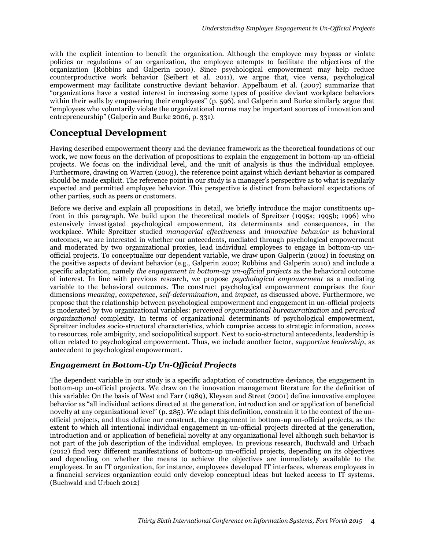with the explicit intention to benefit the organization. Although the employee may bypass or violate policies or regulations of an organization, the employee attempts to facilitate the objectives of the organization (Robbins and Galperin 2010). Since psychological empowerment may help reduce counterproductive work behavior (Seibert et al. 2011), we argue that, vice versa, psychological empowerment may facilitate constructive deviant behavior. Appelbaum et al. (2007) summarize that "organizations have a vested interest in increasing some types of positive deviant workplace behaviors within their walls by empowering their employees" (p. 596), and Galperin and Burke similarly argue that "employees who voluntarily violate the organizational norms may be important sources of innovation and entrepreneurship" (Galperin and Burke 2006, p. 331).

# **Conceptual Development**

Having described empowerment theory and the deviance framework as the theoretical foundations of our work, we now focus on the derivation of propositions to explain the engagement in bottom-up un-official projects. We focus on the individual level, and the unit of analysis is thus the individual employee. Furthermore, drawing on Warren (2003), the reference point against which deviant behavior is compared should be made explicit. The reference point in our study is a manager's perspective as to what is regularly expected and permitted employee behavior. This perspective is distinct from behavioral expectations of other parties, such as peers or customers.

Before we derive and explain all propositions in detail, we briefly introduce the major constituents upfront in this paragraph. We build upon the theoretical models of Spreitzer (1995a; 1995b; 1996) who extensively investigated psychological empowerment, its determinants and consequences, in the workplace. While Spreitzer studied *managerial effectiveness* and *innovative behavior* as behavioral outcomes, we are interested in whether our antecedents, mediated through psychological empowerment and moderated by two organizational proxies, lead individual employees to engage in bottom-up unofficial projects. To conceptualize our dependent variable, we draw upon Galperin (2002) in focusing on the positive aspects of deviant behavior (e.g., Galperin 2002; Robbins and Galperin 2010) and include a specific adaptation, namely *the engagement in bottom-up un-official projects* as the behavioral outcome of interest. In line with previous research, we propose *psychological empowerment* as a mediating variable to the behavioral outcomes. The construct psychological empowerment comprises the four dimensions *meaning*, *competence*, *self-determination*, and *impact*, as discussed above. Furthermore, we propose that the relationship between psychological empowerment and engagement in un-official projects is moderated by two organizational variables: *perceived organizational bureaucratization* and *perceived organizational* complexity. In terms of organizational determinants of psychological empowerment, Spreitzer includes socio-structural characteristics, which comprise access to strategic information, access to resources, role ambiguity, and sociopolitical support. Next to socio-structural antecedents, leadership is often related to psychological empowerment. Thus, we include another factor, *supportive leadership*, as antecedent to psychological empowerment.

### *Engagement in Bottom-Up Un-Official Projects*

The dependent variable in our study is a specific adaptation of constructive deviance, the engagement in bottom-up un-official projects. We draw on the innovation management literature for the definition of this variable: On the basis of West and Farr (1989), Kleysen and Street (2001) define innovative employee behavior as "all individual actions directed at the generation, introduction and or application of beneficial novelty at any organizational level" (p. 285). We adapt this definition, constrain it to the context of the unofficial projects, and thus define our construct, the engagement in bottom-up un-official projects, as the extent to which all intentional individual engagement in un-official projects directed at the generation, introduction and or application of beneficial novelty at any organizational level although such behavior is not part of the job description of the individual employee. In previous research, Buchwald and Urbach (2012) find very different manifestations of bottom-up un-official projects, depending on its objectives and depending on whether the means to achieve the objectives are immediately available to the employees. In an IT organization, for instance, employees developed IT interfaces, whereas employees in a financial services organization could only develop conceptual ideas but lacked access to IT systems. (Buchwald and Urbach 2012)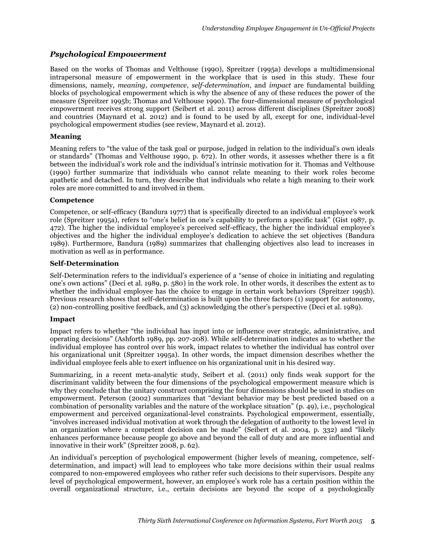### *Psychological Empowerment*

Based on the works of Thomas and Velthouse (1990), Spreitzer (1995a) develops a multidimensional intrapersonal measure of empowerment in the workplace that is used in this study. These four dimensions, namely, *meaning*, *competence*, *self-determination*, and *impact* are fundamental building blocks of psychological empowerment which is why the absence of any of these reduces the power of the measure (Spreitzer 1995b; Thomas and Velthouse 1990). The four-dimensional measure of psychological empowerment receives strong support (Seibert et al. 2011) across different disciplines (Spreitzer 2008) and countries (Maynard et al. 2012) and is found to be used by all, except for one, individual-level psychological empowerment studies (see review, Maynard et al. 2012).

#### **Meaning**

Meaning refers to "the value of the task goal or purpose, judged in relation to the individual's own ideals or standards" (Thomas and Velthouse 1990, p. 672). In other words, it assesses whether there is a fit between the individual's work role and the individual's intrinsic motivation for it. Thomas and Velthouse (1990) further summarize that individuals who cannot relate meaning to their work roles become apathetic and detached. In turn, they describe that individuals who relate a high meaning to their work roles are more committed to and involved in them.

#### **Competence**

Competence, or self-efficacy (Bandura 1977) that is specifically directed to an individual employee's work role (Spreitzer 1995a), refers to "one's belief in one's capability to perform a specific task" (Gist 1987, p. 472). The higher the individual employee's perceived self-efficacy, the higher the individual employee's objectives and the higher the individual employee's dedication to achieve the set objectives (Bandura 1989). Furthermore, Bandura (1989) summarizes that challenging objectives also lead to increases in motivation as well as in performance.

#### **Self-Determination**

Self-Determination refers to the individual's experience of a "sense of choice in initiating and regulating one's own actions" (Deci et al. 1989, p. 580) in the work role. In other words, it describes the extent as to whether the individual employee has the choice to engage in certain work behaviors (Spreitzer 1995b). Previous research shows that self-determination is built upon the three factors (1) support for autonomy, (2) non-controlling positive feedback, and (3) acknowledging the other's perspective (Deci et al. 1989).

#### **Impact**

Impact refers to whether "the individual has input into or influence over strategic, administrative, and operating decisions" (Ashforth 1989, pp. 207-208). While self-determination indicates as to whether the individual employee has control over his work, impact relates to whether the individual has control over his organizational unit (Spreitzer 1995a). In other words, the impact dimension describes whether the individual employee feels able to exert influence on his organizational unit in his desired way.

Summarizing, in a recent meta-analytic study, Seibert et al. (2011) only finds weak support for the discriminant validity between the four dimensions of the psychological empowerment measure which is why they conclude that the unitary construct comprising the four dimensions should be used in studies on empowerment. Peterson (2002) summarizes that "deviant behavior may be best predicted based on a combination of personality variables and the nature of the workplace situation" (p.  $\overline{49}$ ), i.e., psychological empowerment and perceived organizational-level constraints. Psychological empowerment, essentially, "involves increased individual motivation at work through the delegation of authority to the lowest level in an organization where a competent decision can be made" (Seibert et al. 2004, p. 332) and "likely enhances performance because people go above and beyond the call of duty and are more influential and innovative in their work" (Spreitzer 2008, p. 62).

An individual's perception of psychological empowerment (higher levels of meaning, competence, selfdetermination, and impact) will lead to employees who take more decisions within their usual realms compared to non-empowered employees who rather refer such decisions to their supervisors. Despite any level of psychological empowerment, however, an employee's work role has a certain position within the overall organizational structure, i.e., certain decisions are beyond the scope of a psychologically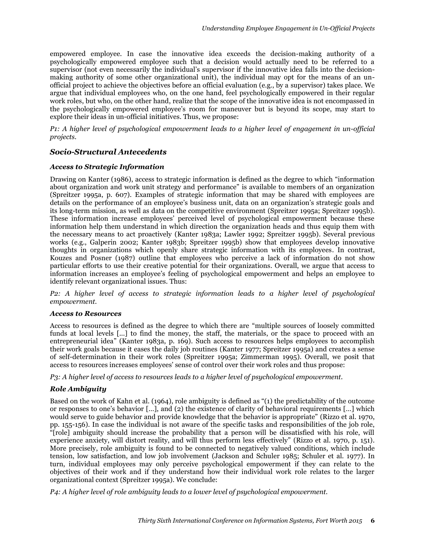empowered employee. In case the innovative idea exceeds the decision-making authority of a psychologically empowered employee such that a decision would actually need to be referred to a supervisor (not even necessarily the individual's supervisor if the innovative idea falls into the decisionmaking authority of some other organizational unit), the individual may opt for the means of an unofficial project to achieve the objectives before an official evaluation (e.g., by a supervisor) takes place. We argue that individual employees who, on the one hand, feel psychologically empowered in their regular work roles, but who, on the other hand, realize that the scope of the innovative idea is not encompassed in the psychologically empowered employee's room for maneuver but is beyond its scope, may start to explore their ideas in un-official initiatives. Thus, we propose:

*P1: A higher level of psychological empowerment leads to a higher level of engagement in un-official projects.*

#### *Socio-Structural Antecedents*

#### *Access to Strategic Information*

Drawing on Kanter (1986), access to strategic information is defined as the degree to which "information about organization and work unit strategy and performance" is available to members of an organization (Spreitzer 1995a, p. 607). Examples of strategic information that may be shared with employees are details on the performance of an employee's business unit, data on an organization's strategic goals and its long-term mission, as well as data on the competitive environment (Spreitzer 1995a; Spreitzer 1995b). These information increase employees' perceived level of psychological empowerment because these information help them understand in which direction the organization heads and thus equip them with the necessary means to act proactively (Kanter 1983a; Lawler 1992; Spreitzer 1995b). Several previous works (e.g., Galperin 2002; Kanter 1983b; Spreitzer 1995b) show that employees develop innovative thoughts in organizations which openly share strategic information with its employees. In contrast, Kouzes and Posner (1987) outline that employees who perceive a lack of information do not show particular efforts to use their creative potential for their organizations. Overall, we argue that access to information increases an employee's feeling of psychological empowerment and helps an employee to identify relevant organizational issues. Thus:

*P2: A higher level of access to strategic information leads to a higher level of psychological empowerment.*

#### *Access to Resources*

Access to resources is defined as the degree to which there are "multiple sources of loosely committed funds at local levels [...] to find the money, the staff, the materials, or the space to proceed with an entrepreneurial idea" (Kanter 1983a, p. 169). Such access to resources helps employees to accomplish their work goals because it eases the daily job routines (Kanter 1977; Spreitzer 1995a) and creates a sense of self-determination in their work roles (Spreitzer 1995a; Zimmerman 1995). Overall, we posit that access to resources increases employees' sense of control over their work roles and thus propose:

*P3: A higher level of access to resources leads to a higher level of psychological empowerment.*

#### *Role Ambiguity*

Based on the work of Kahn et al. (1964), role ambiguity is defined as "(1) the predictability of the outcome or responses to one's behavior […], and (2) the existence of clarity of behavioral requirements […] which would serve to guide behavior and provide knowledge that the behavior is appropriate" (Rizzo et al. 1970, pp. 155-156). In case the individual is not aware of the specific tasks and responsibilities of the job role, "[role] ambiguity should increase the probability that a person will be dissatisfied with his role, will experience anxiety, will distort reality, and will thus perform less effectively" (Rizzo et al. 1970, p. 151). More precisely, role ambiguity is found to be connected to negatively valued conditions, which include tension, low satisfaction, and low job involvement (Jackson and Schuler 1985; Schuler et al. 1977). In turn, individual employees may only perceive psychological empowerment if they can relate to the objectives of their work and if they understand how their individual work role relates to the larger organizational context (Spreitzer 1995a). We conclude:

*P4: A higher level of role ambiguity leads to a lower level of psychological empowerment.*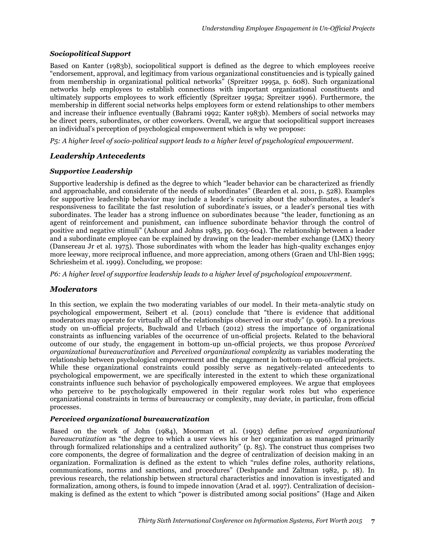#### *Sociopolitical Support*

Based on Kanter (1983b), sociopolitical support is defined as the degree to which employees receive "endorsement, approval, and legitimacy from various organizational constituencies and is typically gained from membership in organizational political networks" (Spreitzer 1995a, p. 608). Such organizational networks help employees to establish connections with important organizational constituents and ultimately supports employees to work efficiently (Spreitzer 1995a; Spreitzer 1996). Furthermore, the membership in different social networks helps employees form or extend relationships to other members and increase their influence eventually (Bahrami 1992; Kanter 1983b). Members of social networks may be direct peers, subordinates, or other coworkers. Overall, we argue that sociopolitical support increases an individual's perception of psychological empowerment which is why we propose:

*P5: A higher level of socio-political support leads to a higher level of psychological empowerment.*

### *Leadership Antecedents*

#### *Supportive Leadership*

Supportive leadership is defined as the degree to which "leader behavior can be characterized as friendly and approachable, and considerate of the needs of subordinates" (Bearden et al. 2011, p. 528). Examples for supportive leadership behavior may include a leader's curiosity about the subordinates, a leader's responsiveness to facilitate the fast resolution of subordinate's issues, or a leader's personal ties with subordinates. The leader has a strong influence on subordinates because "the leader, functioning as an agent of reinforcement and punishment, can influence subordinate behavior through the control of positive and negative stimuli" (Ashour and Johns 1983, pp. 603-604). The relationship between a leader and a subordinate employee can be explained by drawing on the leader-member exchange (LMX) theory (Dansereau Jr et al. 1975). Those subordinates with whom the leader has high-quality exchanges enjoy more leeway, more reciprocal influence, and more appreciation, among others (Graen and Uhl-Bien 1995; Schriesheim et al. 1999). Concluding, we propose:

*P6: A higher level of supportive leadership leads to a higher level of psychological empowerment.*

#### *Moderators*

In this section, we explain the two moderating variables of our model. In their meta-analytic study on psychological empowerment, Seibert et al. (2011) conclude that "there is evidence that additional moderators may operate for virtually all of the relationships observed in our study" (p. 996). In a previous study on un-official projects, Buchwald and Urbach (2012) stress the importance of organizational constraints as influencing variables of the occurrence of un-official projects. Related to the behavioral outcome of our study, the engagement in bottom-up un-official projects, we thus propose *Perceived organizational bureaucratization* and *Perceived organizational complexity* as variables moderating the relationship between psychological empowerment and the engagement in bottom-up un-official projects. While these organizational constraints could possibly serve as negatively-related antecedents to psychological empowerment, we are specifically interested in the extent to which these organizational constraints influence such behavior of psychologically empowered employees. We argue that employees who perceive to be psychologically empowered in their regular work roles but who experience organizational constraints in terms of bureaucracy or complexity, may deviate, in particular, from official processes.

#### *Perceived organizational bureaucratization*

Based on the work of John (1984), Moorman et al. (1993) define *perceived organizational bureaucratization* as "the degree to which a user views his or her organization as managed primarily through formalized relationships and a centralized authority" (p. 85). The construct thus comprises two core components, the degree of formalization and the degree of centralization of decision making in an organization. Formalization is defined as the extent to which "rules define roles, authority relations, communications, norms and sanctions, and procedures" (Deshpande and Zaltman 1982, p. 18). In previous research, the relationship between structural characteristics and innovation is investigated and formalization, among others, is found to impede innovation (Arad et al. 1997). Centralization of decisionmaking is defined as the extent to which "power is distributed among social positions" (Hage and Aiken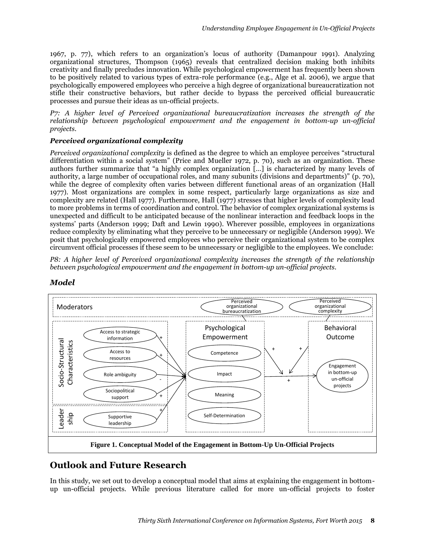1967, p. 77), which refers to an organization's locus of authority (Damanpour 1991). Analyzing organizational structures, Thompson (1965) reveals that centralized decision making both inhibits creativity and finally precludes innovation. While psychological empowerment has frequently been shown to be positively related to various types of extra-role performance (e.g., Alge et al. 2006), we argue that psychologically empowered employees who perceive a high degree of organizational bureaucratization not stifle their constructive behaviors, but rather decide to bypass the perceived official bureaucratic processes and pursue their ideas as un-official projects.

*P7: A higher level of Perceived organizational bureaucratization increases the strength of the relationship between psychological empowerment and the engagement in bottom-up un-official projects.*

### *Perceived organizational complexity*

*Perceived organizational complexity* is defined as the degree to which an employee perceives "structural differentiation within a social system" (Price and Mueller 1972, p. 70), such as an organization. These authors further summarize that "a highly complex organization […] is characterized by many levels of authority, a large number of occupational roles, and many subunits (divisions and departments)" (p. 70), while the degree of complexity often varies between different functional areas of an organization (Hall 1977). Most organizations are complex in some respect, particularly large organizations as size and complexity are related (Hall 1977). Furthermore, Hall (1977) stresses that higher levels of complexity lead to more problems in terms of coordination and control. The behavior of complex organizational systems is unexpected and difficult to be anticipated because of the nonlinear interaction and feedback loops in the systems' parts (Anderson 1999; Daft and Lewin 1990). Wherever possible, employees in organizations reduce complexity by eliminating what they perceive to be unnecessary or negligible (Anderson 1999). We posit that psychologically empowered employees who perceive their organizational system to be complex circumvent official processes if these seem to be unnecessary or negligible to the employees. We conclude:

*P8: A higher level of Perceived organizational complexity increases the strength of the relationship between psychological empowerment and the engagement in bottom-up un-official projects.*



### *Model*

# **Outlook and Future Research**

In this study, we set out to develop a conceptual model that aims at explaining the engagement in bottomup un-official projects. While previous literature called for more un-official projects to foster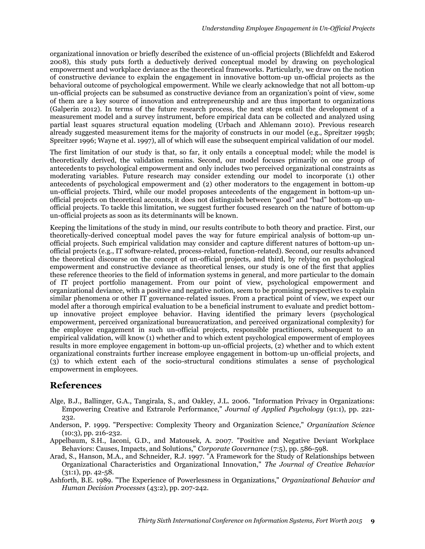organizational innovation or briefly described the existence of un-official projects (Blichfeldt and Eskerod 2008), this study puts forth a deductively derived conceptual model by drawing on psychological empowerment and workplace deviance as the theoretical frameworks. Particularly, we draw on the notion of constructive deviance to explain the engagement in innovative bottom-up un-official projects as the behavioral outcome of psychological empowerment. While we clearly acknowledge that not all bottom-up un-official projects can be subsumed as constructive deviance from an organization's point of view, some of them are a key source of innovation and entrepreneurship and are thus important to organizations (Galperin 2012). In terms of the future research process, the next steps entail the development of a measurement model and a survey instrument, before empirical data can be collected and analyzed using partial least squares structural equation modeling (Urbach and Ahlemann 2010). Previous research already suggested measurement items for the majority of constructs in our model (e.g., Spreitzer 1995b; Spreitzer 1996; Wayne et al. 1997), all of which will ease the subsequent empirical validation of our model.

The first limitation of our study is that, so far, it only entails a conceptual model; while the model is theoretically derived, the validation remains. Second, our model focuses primarily on one group of antecedents to psychological empowerment and only includes two perceived organizational constraints as moderating variables. Future research may consider extending our model to incorporate (1) other antecedents of psychological empowerment and (2) other moderators to the engagement in bottom-up un-official projects. Third, while our model proposes antecedents of the engagement in bottom-up unofficial projects on theoretical accounts, it does not distinguish between "good" and "bad" bottom-up unofficial projects. To tackle this limitation, we suggest further focused research on the nature of bottom-up un-official projects as soon as its determinants will be known.

Keeping the limitations of the study in mind, our results contribute to both theory and practice. First, our theoretically-derived conceptual model paves the way for future empirical analysis of bottom-up unofficial projects. Such empirical validation may consider and capture different natures of bottom-up unofficial projects (e.g., IT software-related, process-related, function-related). Second, our results advanced the theoretical discourse on the concept of un-official projects, and third, by relying on psychological empowerment and constructive deviance as theoretical lenses, our study is one of the first that applies these reference theories to the field of information systems in general, and more particular to the domain of IT project portfolio management. From our point of view, psychological empowerment and organizational deviance, with a positive and negative notion, seem to be promising perspectives to explain similar phenomena or other IT governance-related issues. From a practical point of view, we expect our model after a thorough empirical evaluation to be a beneficial instrument to evaluate and predict bottomup innovative project employee behavior. Having identified the primary levers (psychological empowerment, perceived organizational bureaucratization, and perceived organizational complexity) for the employee engagement in such un-official projects, responsible practitioners, subsequent to an empirical validation, will know (1) whether and to which extent psychological empowerment of employees results in more employee engagement in bottom-up un-official projects, (2) whether and to which extent organizational constraints further increase employee engagement in bottom-up un-official projects, and (3) to which extent each of the socio-structural conditions stimulates a sense of psychological empowerment in employees.

# **References**

- Alge, B.J., Ballinger, G.A., Tangirala, S., and Oakley, J.L. 2006. "Information Privacy in Organizations: Empowering Creative and Extrarole Performance," *Journal of Applied Psychology* (91:1), pp. 221- 232.
- Anderson, P. 1999. "Perspective: Complexity Theory and Organization Science," *Organization Science* (10:3), pp. 216-232.
- Appelbaum, S.H., Iaconi, G.D., and Matousek, A. 2007. "Positive and Negative Deviant Workplace Behaviors: Causes, Impacts, and Solutions," *Corporate Governance* (7:5), pp. 586-598.
- Arad, S., Hanson, M.A., and Schneider, R.J. 1997. "A Framework for the Study of Relationships between Organizational Characteristics and Organizational Innovation," *The Journal of Creative Behavior*  $(31:1)$ , pp. 42-58.
- Ashforth, B.E. 1989. "The Experience of Powerlessness in Organizations," *Organizational Behavior and Human Decision Processes* (43:2), pp. 207-242.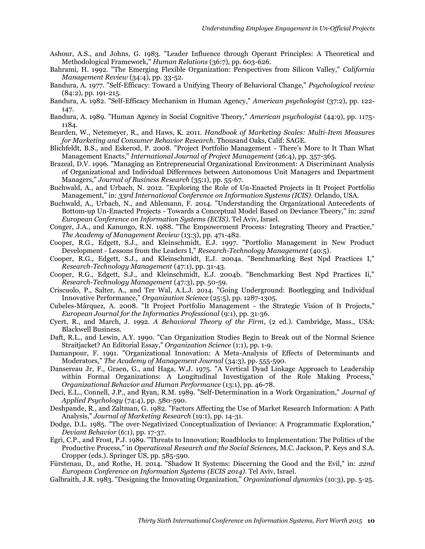- Ashour, A.S., and Johns, G. 1983. "Leader Influence through Operant Principles: A Theoretical and Methodological Framework," *Human Relations* (36:7), pp. 603-626.
- Bahrami, H. 1992. "The Emerging Flexible Organization: Perspectives from Silicon Valley," *California Management Review* (34:4), pp. 33-52.
- Bandura, A. 1977. "Self-Efficacy: Toward a Unifying Theory of Behavioral Change," *Psychological review* (84:2), pp. 191-215.
- Bandura, A. 1982. "Self-Efficacy Mechanism in Human Agency," *American psychologist* (37:2), pp. 122- 147.
- Bandura, A. 1989. "Human Agency in Social Cognitive Theory," *American psychologist* (44:9), pp. 1175- 1184.
- Bearden, W., Netemeyer, R., and Haws, K. 2011. *Handbook of Marketing Scales: Multi-Item Measures for Marketing and Consumer Behavior Research*. Thousand Oaks, Calif: SAGE.
- Blichfeldt, B.S., and Eskerod, P. 2008. "Project Portfolio Management There's More to It Than What Management Enacts," *International Journal of Project Management* (26:4), pp. 357-365.
- Brazeal, D.V. 1996. "Managing an Entrepreneurial Organizational Environment: A Discriminant Analysis of Organizational and Individual Differences between Autonomous Unit Managers and Department Managers," *Journal of Business Research* (35:1), pp. 55-67.
- Buchwald, A., and Urbach, N. 2012. "Exploring the Role of Un-Enacted Projects in It Project Portfolio Management," in: *33rd International Conference on Information Systems (ICIS)*. Orlando, USA.
- Buchwald, A., Urbach, N., and Ahlemann, F. 2014. "Understanding the Organizational Antecedents of Bottom-up Un-Enacted Projects - Towards a Conceptual Model Based on Deviance Theory," in: *22nd European Conference on Information Systems (ECIS)*. Tel Aviv, Israel.
- Conger, J.A., and Kanungo, R.N. 1988. "The Empowerment Process: Integrating Theory and Practice," *The Academy of Management Review* (13:3), pp. 471-482.
- Cooper, R.G., Edgett, S.J., and Kleinschmidt, E.J. 1997. "Portfolio Management in New Product Development - Lessons from the Leaders I," *Research-Technology Management* (40:5).
- Cooper, R.G., Edgett, S.J., and Kleinschmidt, E.J. 2004a. "Benchmarking Best Npd Practices I," *Research-Technology Management* (47:1), pp. 31-43.
- Cooper, R.G., Edgett, S.J., and Kleinschmidt, E.J. 2004b. "Benchmarking Best Npd Practices Ii," *Research-Technology Management* (47:3), pp. 50-59.
- Criscuolo, P., Salter, A., and Ter Wal, A.L.J. 2014. "Going Underground: Bootlegging and Individual Innovative Performance," *Organization Science* (25:5), pp. 1287-1305.
- Cubeles-Márquez, A. 2008. "It Project Portfolio Management the Strategic Vision of It Projects," *European Journal for the Informatics Professional* (9:1), pp. 31-36.
- Cyert, R., and March, J. 1992. *A Behavioral Theory of the Firm*, (2 ed.). Cambridge, Mass., USA: Blackwell Business.
- Daft, R.L., and Lewin, A.Y. 1990. "Can Organization Studies Begin to Break out of the Normal Science Straitjacket? An Editorial Essay," *Organization Science* (1:1), pp. 1-9.
- Damanpour, F. 1991. "Organizational Innovation: A Meta-Analysis of Effects of Determinants and Moderators," *The Academy of Management Journal* (34:3), pp. 555-590.
- Dansereau Jr, F., Graen, G., and Haga, W.J. 1975. "A Vertical Dyad Linkage Approach to Leadership within Formal Organizations: A Longitudinal Investigation of the Role Making Process," *Organizational Behavior and Human Performance* (13:1), pp. 46-78.
- Deci, E.L., Connell, J.P., and Ryan, R.M. 1989. "Self-Determination in a Work Organization," *Journal of Applied Psychology* (74:4), pp. 580-590.
- Deshpande, R., and Zaltman, G. 1982. "Factors Affecting the Use of Market Research Information: A Path Analysis," *Journal of Marketing Research* (19:1), pp. 14-31.
- Dodge, D.L. 1985. "The over‐Negativized Conceptualization of Deviance: A Programmatic Exploration," *Deviant Behavior* (6:1), pp. 17-37.
- Egri, C.P., and Frost, P.J. 1989. "Threats to Innovation; Roadblocks to Implementation: The Politics of the Productive Process," in *Operational Research and the Social Sciences,* M.C. Jackson, P. Keys and S.A. Cropper (eds.). Springer US, pp. 585-590.
- Fürstenau, D., and Rothe, H. 2014. "Shadow It Systems: Discerning the Good and the Evil," in: *22nd European Conference on Information Systems (ECIS 2014)*. Tel Aviv, Israel.
- Galbraith, J.R. 1983. "Designing the Innovating Organization," *Organizational dynamics* (10:3), pp. 5-25.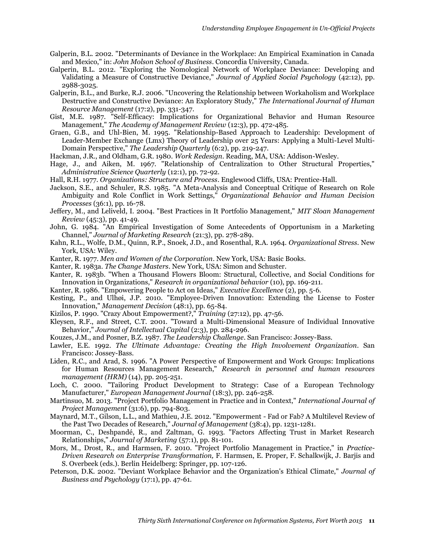- Galperin, B.L. 2002. "Determinants of Deviance in the Workplace: An Empirical Examination in Canada and Mexico," in: *John Molson School of Business*. Concordia University, Canada.
- Galperin, B.L. 2012. "Exploring the Nomological Network of Workplace Deviance: Developing and Validating a Measure of Constructive Deviance," *Journal of Applied Social Psychology* (42:12), pp. 2988-3025.
- Galperin, B.L., and Burke, R.J. 2006. "Uncovering the Relationship between Workaholism and Workplace Destructive and Constructive Deviance: An Exploratory Study," *The International Journal of Human Resource Management* (17:2), pp. 331-347.
- Gist, M.E. 1987. "Self-Efficacy: Implications for Organizational Behavior and Human Resource Management," *The Academy of Management Review* (12:3), pp. 472-485.
- Graen, G.B., and Uhl-Bien, M. 1995. "Relationship-Based Approach to Leadership: Development of Leader-Member Exchange (Lmx) Theory of Leadership over 25 Years: Applying a Multi-Level Multi-Domain Perspective," *The Leadership Quarterly* (6:2), pp. 219-247.

Hackman, J.R., and Oldham, G.R. 1980. *Work Redesign*. Reading, MA, USA: Addison-Wesley.

Hage, J., and Aiken, M. 1967. "Relationship of Centralization to Other Structural Properties," *Administrative Science Quarterly* (12:1), pp. 72-92.

Hall, R.H. 1977. *Organizations: Structure and Process*. Englewood Cliffs, USA: Prentice-Hall.

- Jackson, S.E., and Schuler, R.S. 1985. "A Meta-Analysis and Conceptual Critique of Research on Role Ambiguity and Role Conflict in Work Settings," *Organizational Behavior and Human Decision Processes* (36:1), pp. 16-78.
- Jeffery, M., and Leliveld, I. 2004. "Best Practices in It Portfolio Management," *MIT Sloan Management Review* (45:3), pp. 41-49.
- John, G. 1984. "An Empirical Investigation of Some Antecedents of Opportunism in a Marketing Channel," *Journal of Marketing Research* (21:3), pp. 278-289.
- Kahn, R.L., Wolfe, D.M., Quinn, R.P., Snoek, J.D., and Rosenthal, R.A. 1964. *Organizational Stress*. New York, USA: Wiley.
- Kanter, R. 1977. *Men and Women of the Corporation*. New York, USA: Basic Books.
- Kanter, R. 1983a. *The Change Masters*. New York, USA: Simon and Schuster.
- Kanter, R. 1983b. "When a Thousand Flowers Bloom: Structural, Collective, and Social Conditions for Innovation in Organizations," *Research in organizational behavior* (10), pp. 169-211.
- Kanter, R. 1986. "Empowering People to Act on Ideas," *Executive Excellence* (2), pp. 5-6.
- Kesting, P., and Ulhøi, J.P. 2010. "Employee-Driven Innovation: Extending the License to Foster Innovation," *Management Decision* (48:1), pp. 65-84.
- Kizilos, P. 1990. "Crazy About Empowerment?," *Training* (27:12), pp. 47-56.
- Kleysen, R.F., and Street, C.T. 2001. "Toward a Multi‐Dimensional Measure of Individual Innovative Behavior," *Journal of Intellectual Capital* (2:3), pp. 284-296.

Kouzes, J.M., and Posner, B.Z. 1987. *The Leadership Challenge*. San Francisco: Jossey-Bass.

- Lawler, E.E. 1992. *The Ultimate Advantage: Creating the High Involvement Organization*. San Francisco: Jossey-Bass.
- Liden, R.C., and Arad, S. 1996. "A Power Perspective of Empowerment and Work Groups: Implications for Human Resources Management Research," *Research in personnel and human resources management (HRM)* (14), pp. 205-251.
- Loch, C. 2000. "Tailoring Product Development to Strategy: Case of a European Technology Manufacturer," *European Management Journal* (18:3), pp. 246-258.
- Martinsuo, M. 2013. "Project Portfolio Management in Practice and in Context," *International Journal of Project Management* (31:6), pp. 794-803.
- Maynard, M.T., Gilson, L.L., and Mathieu, J.E. 2012. "Empowerment Fad or Fab? A Multilevel Review of the Past Two Decades of Research," *Journal of Management* (38:4), pp. 1231-1281.
- Moorman, C., Deshpandé, R., and Zaltman, G. 1993. "Factors Affecting Trust in Market Research Relationships," *Journal of Marketing* (57:1), pp. 81-101.
- Mors, M., Drost, R., and Harmsen, F. 2010. "Project Portfolio Management in Practice," in *Practice-Driven Research on Enterprise Transformation,* F. Harmsen, E. Proper, F. Schalkwijk, J. Barjis and S. Overbeek (eds.). Berlin Heidelberg: Springer, pp. 107-126.
- Peterson, D.K. 2002. "Deviant Workplace Behavior and the Organization's Ethical Climate," *Journal of Business and Psychology* (17:1), pp. 47-61.